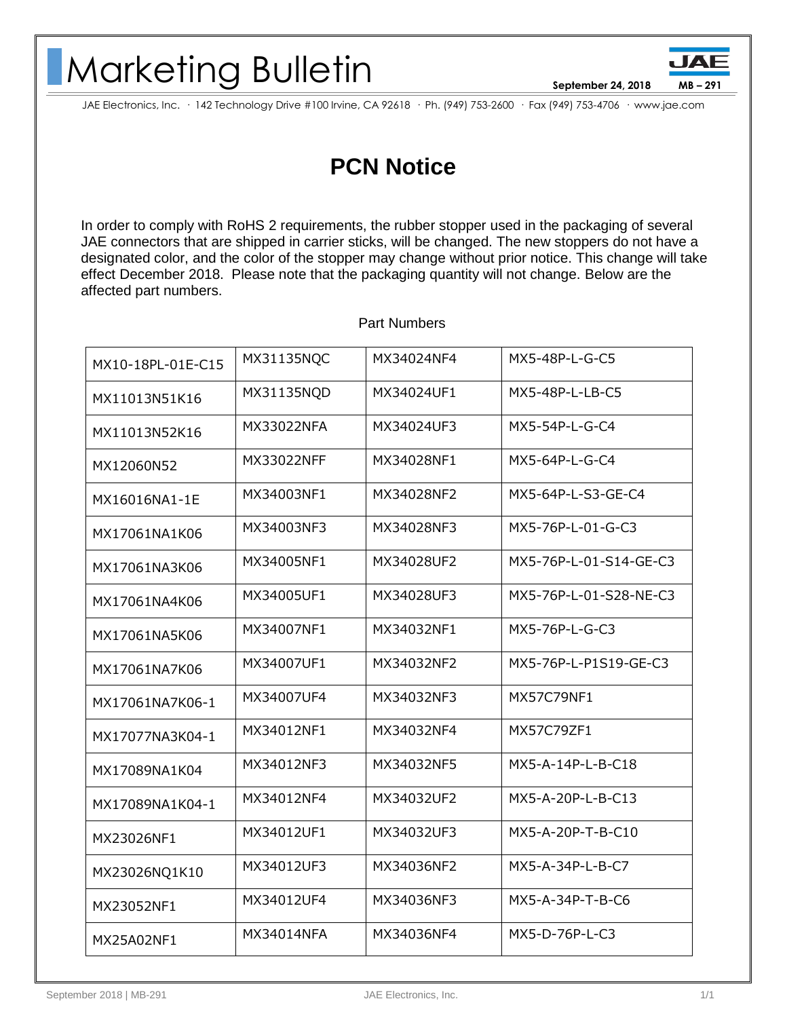## Marketing Bulletin

**September 24, 2018 MB – 291**

JAE Electronics, Inc. · 142 Technology Drive #100 Irvine, CA 92618 · Ph. (949) 753-2600 · Fax (949) 753-4706 · www.jae.com

## **PCN Notice**

In order to comply with RoHS 2 requirements, the rubber stopper used in the packaging of several JAE connectors that are shipped in carrier sticks, will be changed. The new stoppers do not have a designated color, and the color of the stopper may change without prior notice. This change will take effect December 2018. Please note that the packaging quantity will not change. Below are the affected part numbers.

| MX10-18PL-01E-C15 | MX31135NQC | MX34024NF4 | MX5-48P-L-G-C5         |
|-------------------|------------|------------|------------------------|
| MX11013N51K16     | MX31135NQD | MX34024UF1 | MX5-48P-L-LB-C5        |
| MX11013N52K16     | MX33022NFA | MX34024UF3 | MX5-54P-L-G-C4         |
| MX12060N52        | MX33022NFF | MX34028NF1 | MX5-64P-L-G-C4         |
| MX16016NA1-1E     | MX34003NF1 | MX34028NF2 | MX5-64P-L-S3-GE-C4     |
| MX17061NA1K06     | MX34003NF3 | MX34028NF3 | MX5-76P-L-01-G-C3      |
| MX17061NA3K06     | MX34005NF1 | MX34028UF2 | MX5-76P-L-01-S14-GE-C3 |
| MX17061NA4K06     | MX34005UF1 | MX34028UF3 | MX5-76P-L-01-S28-NE-C3 |
| MX17061NA5K06     | MX34007NF1 | MX34032NF1 | MX5-76P-L-G-C3         |
| MX17061NA7K06     | MX34007UF1 | MX34032NF2 | MX5-76P-L-P1S19-GE-C3  |
| MX17061NA7K06-1   | MX34007UF4 | MX34032NF3 | <b>MX57C79NF1</b>      |
| MX17077NA3K04-1   | MX34012NF1 | MX34032NF4 | MX57C79ZF1             |
| MX17089NA1K04     | MX34012NF3 | MX34032NF5 | MX5-A-14P-L-B-C18      |
| MX17089NA1K04-1   | MX34012NF4 | MX34032UF2 | MX5-A-20P-L-B-C13      |
| MX23026NF1        | MX34012UF1 | MX34032UF3 | $MX5-A-20P-T-B-C10$    |
| MX23026NQ1K10     | MX34012UF3 | MX34036NF2 | $MX5-A-34P-L-B-C7$     |
| MX23052NF1        | MX34012UF4 | MX34036NF3 | MX5-A-34P-T-B-C6       |
| MX25A02NF1        | MX34014NFA | MX34036NF4 | MX5-D-76P-L-C3         |

## Part Numbers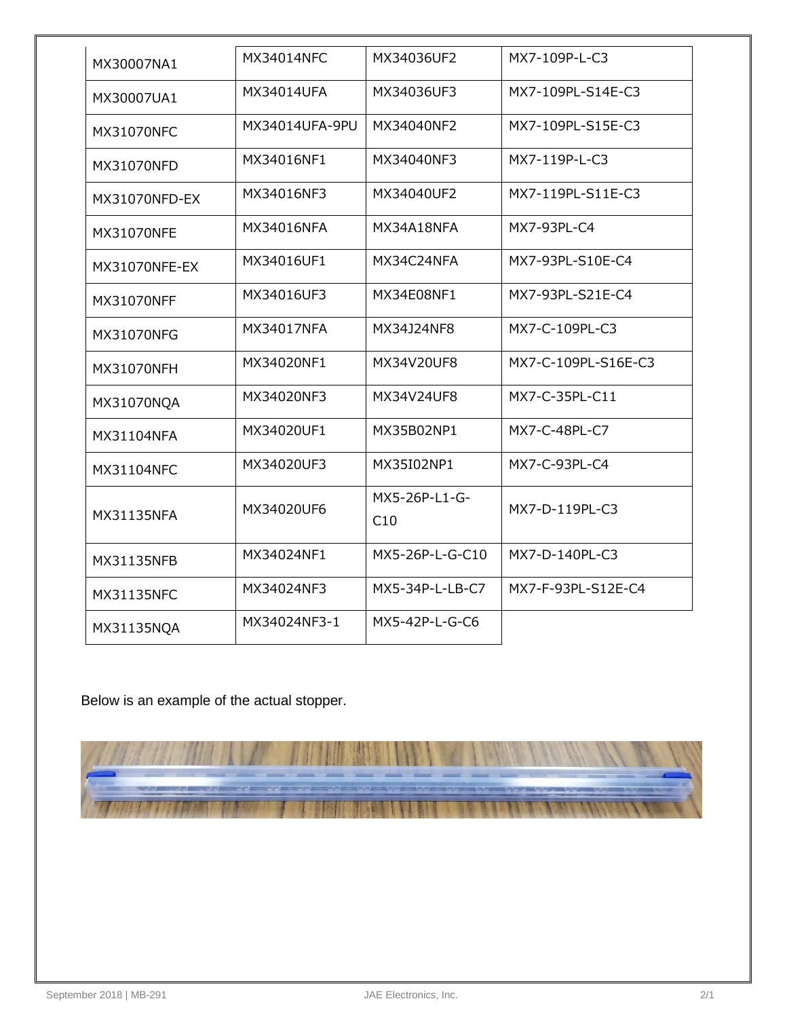| MX30007NA1        | MX34014NFC     | MX34036UF2           | MX7-109P-L-C3       |
|-------------------|----------------|----------------------|---------------------|
| MX30007UA1        | MX34014UFA     | MX34036UF3           | MX7-109PL-S14E-C3   |
| <b>MX31070NFC</b> | MX34014UFA-9PU | MX34040NF2           | MX7-109PL-S15E-C3   |
| MX31070NFD        | MX34016NF1     | MX34040NF3           | MX7-119P-L-C3       |
| MX31070NFD-EX     | MX34016NF3     | MX34040UF2           | MX7-119PL-S11E-C3   |
| MX31070NFE        | MX34016NFA     | MX34A18NFA           | MX7-93PL-C4         |
| MX31070NFE-EX     | MX34016UF1     | MX34C24NFA           | MX7-93PL-S10E-C4    |
| <b>MX31070NFF</b> | MX34016UF3     | MX34E08NF1           | MX7-93PL-S21E-C4    |
| MX31070NFG        | MX34017NFA     | MX34J24NF8           | MX7-C-109PL-C3      |
| MX31070NFH        | MX34020NF1     | MX34V20UF8           | MX7-C-109PL-S16E-C3 |
| MX31070NQA        | MX34020NF3     | MX34V24UF8           | MX7-C-35PL-C11      |
| MX31104NFA        | MX34020UF1     | MX35B02NP1           | MX7-C-48PL-C7       |
| <b>MX31104NFC</b> | MX34020UF3     | MX35I02NP1           | MX7-C-93PL-C4       |
| MX31135NFA        | MX34020UF6     | MX5-26P-L1-G-<br>C10 | MX7-D-119PL-C3      |
| MX31135NFB        | MX34024NF1     | MX5-26P-L-G-C10      | MX7-D-140PL-C3      |
| MX31135NFC        | MX34024NF3     | MX5-34P-L-LB-C7      | MX7-F-93PL-S12E-C4  |
| MX31135NQA        | MX34024NF3-1   | MX5-42P-L-G-C6       |                     |

Below is an example of the actual stopper.